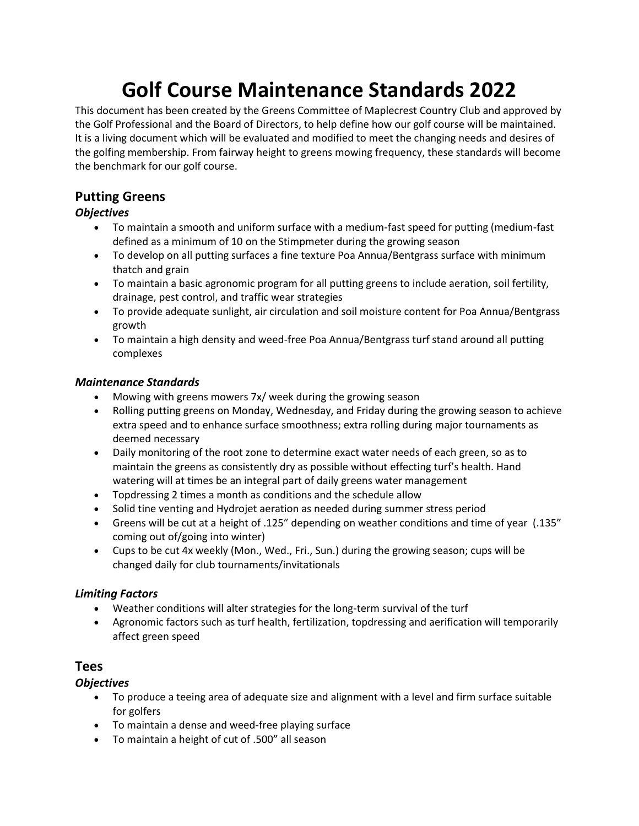# **Golf Course Maintenance Standards 2022**

This document has been created by the Greens Committee of Maplecrest Country Club and approved by the Golf Professional and the Board of Directors, to help define how our golf course will be maintained. It is a living document which will be evaluated and modified to meet the changing needs and desires of the golfing membership. From fairway height to greens mowing frequency, these standards will become the benchmark for our golf course.

# **Putting Greens**

# *Objectives*

- To maintain a smooth and uniform surface with a medium-fast speed for putting (medium-fast defined as a minimum of 10 on the Stimpmeter during the growing season
- To develop on all putting surfaces a fine texture Poa Annua/Bentgrass surface with minimum thatch and grain
- To maintain a basic agronomic program for all putting greens to include aeration, soil fertility, drainage, pest control, and traffic wear strategies
- To provide adequate sunlight, air circulation and soil moisture content for Poa Annua/Bentgrass growth
- To maintain a high density and weed-free Poa Annua/Bentgrass turf stand around all putting complexes

# *Maintenance Standards*

- Mowing with greens mowers 7x/ week during the growing season
- Rolling putting greens on Monday, Wednesday, and Friday during the growing season to achieve extra speed and to enhance surface smoothness; extra rolling during major tournaments as deemed necessary
- Daily monitoring of the root zone to determine exact water needs of each green, so as to maintain the greens as consistently dry as possible without effecting turf's health. Hand watering will at times be an integral part of daily greens water management
- Topdressing 2 times a month as conditions and the schedule allow
- Solid tine venting and Hydrojet aeration as needed during summer stress period
- Greens will be cut at a height of .125" depending on weather conditions and time of year (.135" coming out of/going into winter)
- Cups to be cut 4x weekly (Mon., Wed., Fri., Sun.) during the growing season; cups will be changed daily for club tournaments/invitationals

# *Limiting Factors*

- Weather conditions will alter strategies for the long-term survival of the turf
- Agronomic factors such as turf health, fertilization, topdressing and aerification will temporarily affect green speed

# **Tees**

# *Objectives*

- To produce a teeing area of adequate size and alignment with a level and firm surface suitable for golfers
- To maintain a dense and weed-free playing surface
- To maintain a height of cut of .500" all season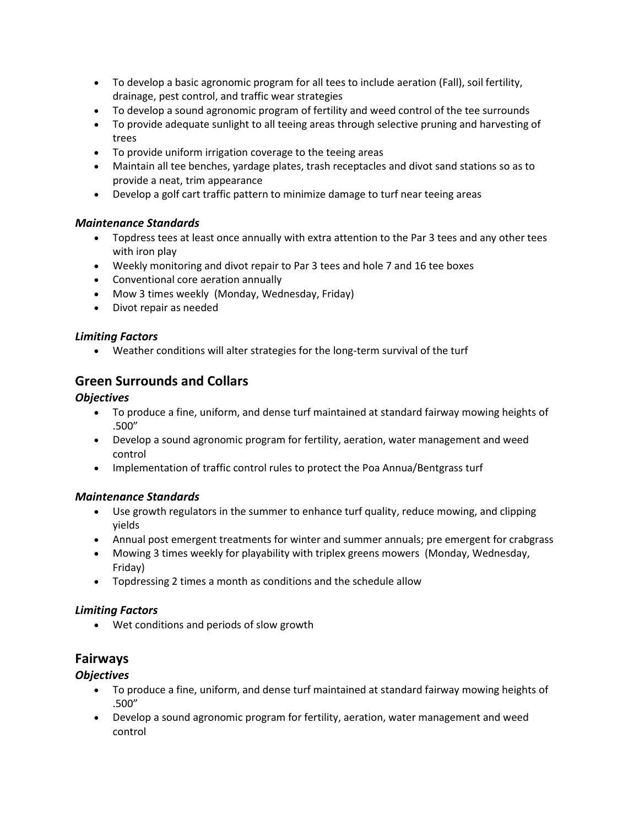- To develop a basic agronomic program for all tees to include aeration (Fall), soil fertility, drainage, pest control, and traffic wear strategies
- To develop a sound agronomic program of fertility and weed control of the tee surrounds
- To provide adequate sunlight to all teeing areas through selective pruning and harvesting of trees
- To provide uniform irrigation coverage to the teeing areas
- Maintain all tee benches, yardage plates, trash receptacles and divot sand stations so as to provide a neat, trim appearance
- Develop a golf cart traffic pattern to minimize damage to turf near teeing areas

# *Maintenance Standards*

- Topdress tees at least once annually with extra attention to the Par 3 tees and any other tees with iron play
- Weekly monitoring and divot repair to Par 3 tees and hole 7 and 16 tee boxes
- Conventional core aeration annually
- Mow 3 times weekly (Monday, Wednesday, Friday)
- Divot repair as needed

# *Limiting Factors*

• Weather conditions will alter strategies for the long-term survival of the turf

# **Green Surrounds and Collars**

## *Objectives*

- To produce a fine, uniform, and dense turf maintained at standard fairway mowing heights of .500"
- Develop a sound agronomic program for fertility, aeration, water management and weed control
- Implementation of traffic control rules to protect the Poa Annua/Bentgrass turf

# *Maintenance Standards*

- Use growth regulators in the summer to enhance turf quality, reduce mowing, and clipping yields
- Annual post emergent treatments for winter and summer annuals; pre emergent for crabgrass
- Mowing 3 times weekly for playability with triplex greens mowers (Monday, Wednesday, Friday)
- Topdressing 2 times a month as conditions and the schedule allow

## *Limiting Factors*

• Wet conditions and periods of slow growth

# **Fairways**

# *Objectives*

- To produce a fine, uniform, and dense turf maintained at standard fairway mowing heights of .500"
- Develop a sound agronomic program for fertility, aeration, water management and weed control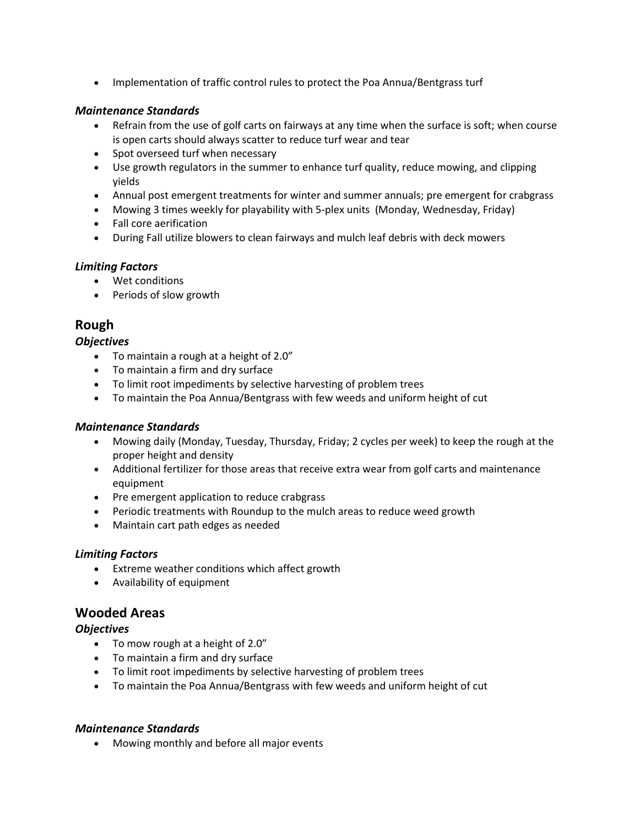• Implementation of traffic control rules to protect the Poa Annua/Bentgrass turf

#### *Maintenance Standards*

- Refrain from the use of golf carts on fairways at any time when the surface is soft; when course is open carts should always scatter to reduce turf wear and tear
- Spot overseed turf when necessary
- Use growth regulators in the summer to enhance turf quality, reduce mowing, and clipping yields
- Annual post emergent treatments for winter and summer annuals; pre emergent for crabgrass
- Mowing 3 times weekly for playability with 5-plex units (Monday, Wednesday, Friday)
- Fall core aerification
- During Fall utilize blowers to clean fairways and mulch leaf debris with deck mowers

#### *Limiting Factors*

- Wet conditions
- Periods of slow growth

# **Rough**

#### *Objectives*

- To maintain a rough at a height of 2.0"
- To maintain a firm and dry surface
- To limit root impediments by selective harvesting of problem trees
- To maintain the Poa Annua/Bentgrass with few weeds and uniform height of cut

#### *Maintenance Standards*

- Mowing daily (Monday, Tuesday, Thursday, Friday; 2 cycles per week) to keep the rough at the proper height and density
- Additional fertilizer for those areas that receive extra wear from golf carts and maintenance equipment
- Pre emergent application to reduce crabgrass
- Periodic treatments with Roundup to the mulch areas to reduce weed growth
- Maintain cart path edges as needed

#### *Limiting Factors*

- Extreme weather conditions which affect growth
- Availability of equipment

# **Wooded Areas**

## *Objectives*

- To mow rough at a height of 2.0"
- To maintain a firm and dry surface
- To limit root impediments by selective harvesting of problem trees
- To maintain the Poa Annua/Bentgrass with few weeds and uniform height of cut

#### *Maintenance Standards*

• Mowing monthly and before all major events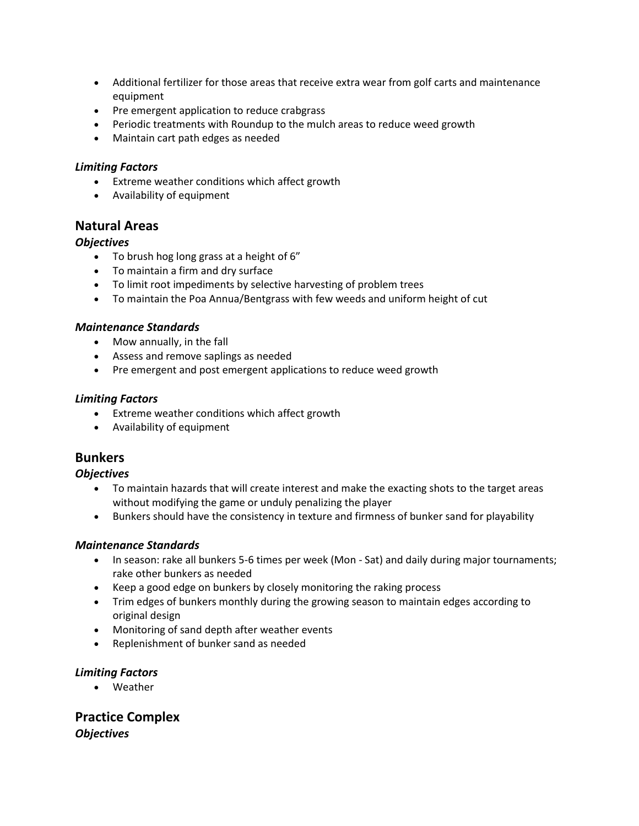- Additional fertilizer for those areas that receive extra wear from golf carts and maintenance equipment
- Pre emergent application to reduce crabgrass
- Periodic treatments with Roundup to the mulch areas to reduce weed growth
- Maintain cart path edges as needed

#### *Limiting Factors*

- Extreme weather conditions which affect growth
- Availability of equipment

# **Natural Areas**

#### *Objectives*

- To brush hog long grass at a height of 6"
- To maintain a firm and dry surface
- To limit root impediments by selective harvesting of problem trees
- To maintain the Poa Annua/Bentgrass with few weeds and uniform height of cut

#### *Maintenance Standards*

- Mow annually, in the fall
- Assess and remove saplings as needed
- Pre emergent and post emergent applications to reduce weed growth

#### *Limiting Factors*

- Extreme weather conditions which affect growth
- Availability of equipment

# **Bunkers**

#### *Objectives*

- To maintain hazards that will create interest and make the exacting shots to the target areas without modifying the game or unduly penalizing the player
- Bunkers should have the consistency in texture and firmness of bunker sand for playability

## *Maintenance Standards*

- In season: rake all bunkers 5-6 times per week (Mon Sat) and daily during major tournaments; rake other bunkers as needed
- Keep a good edge on bunkers by closely monitoring the raking process
- Trim edges of bunkers monthly during the growing season to maintain edges according to original design
- Monitoring of sand depth after weather events
- Replenishment of bunker sand as needed

## *Limiting Factors*

• Weather

**Practice Complex** *Objectives*